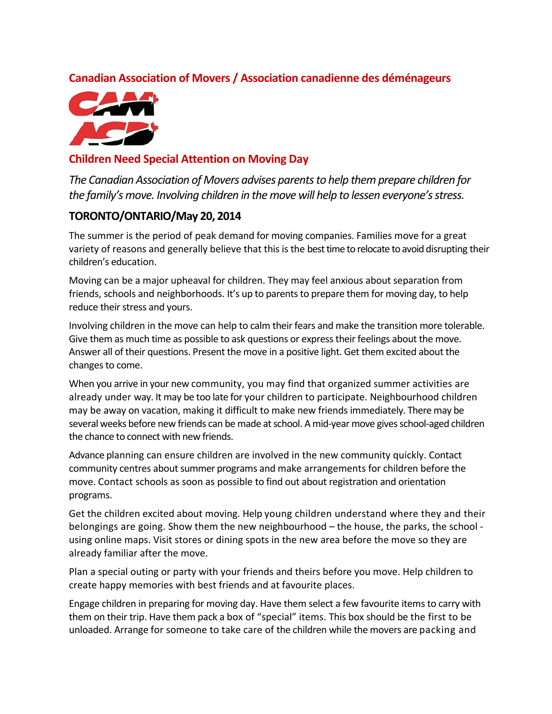## **Canadian Association of Movers / Association canadienne des déménageurs**



## **Children Need Special Attention on Moving Day**

*The Canadian Association of Movers advises parentsto help themprepare children for the family'smove. Involving children in themove will help to lessen everyone'sstress.*

## **TORONTO/ONTARIO/May 20, 2014**

The summer is the period of peak demand for moving companies. Families move for a great variety of reasons and generally believe that this is the besttime to relocate to avoid disrupting their children's education.

Moving can be a major upheaval for children. They may feel anxious about separation from friends, schools and neighborhoods. It's up to parents to prepare them for moving day, to help reduce their stress and yours.

Involving children in the move can help to calm their fears and make the transition more tolerable. Give them as much time as possible to ask questions or express their feelings about the move. Answer all of their questions. Present the move in a positive light. Get them excited about the changes to come.

When you arrive in your new community, you may find that organized summer activities are already under way. It may be too late for your children to participate. Neighbourhood children may be away on vacation, making it difficult to make new friends immediately. There may be several weeks before new friends can be made at school. A mid-year move gives school-aged children the chance to connect with new friends.

Advance planning can ensure children are involved in the new community quickly. Contact community centres about summer programs and make arrangements for children before the move. Contact schools as soon as possible to find out about registration and orientation programs.

Get the children excited about moving. Help young children understand where they and their belongings are going. Show them the new neighbourhood – the house, the parks, the school ‐ using online maps. Visit stores or dining spots in the new area before the move so they are already familiar after the move.

Plan a special outing or party with your friends and theirs before you move. Help children to create happy memories with best friends and at favourite places.

Engage children in preparing for moving day. Have them select a few favourite itemsto carry with them on their trip. Have them pack a box of "special" items. This box should be the first to be unloaded. Arrange for someone to take care of the children while the movers are packing and